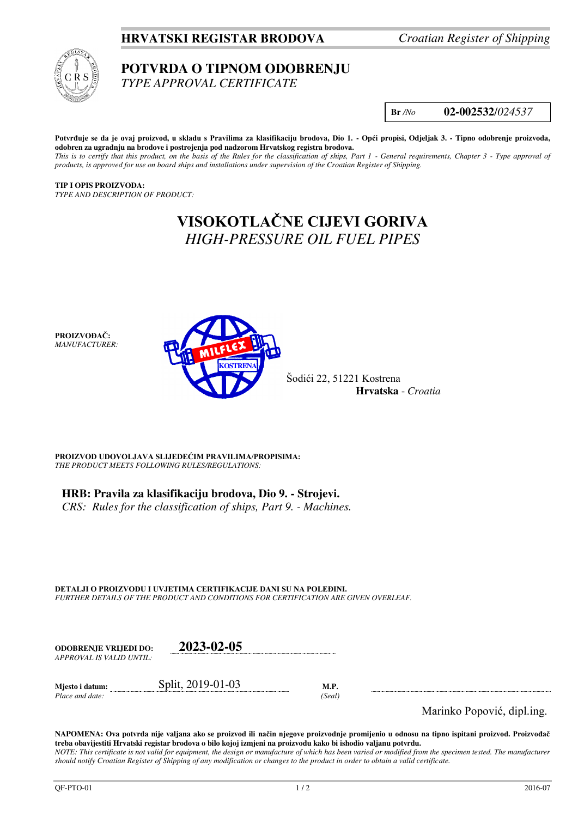## **HRVATSKI REGISTAR BRODOVA** *Croatian Register of Shipping*



## **POTVRDA O TIPNOM ODOBRENJU**

*TYPE APPROVAL CERTIFICATE* 

**Br** */No* **02-002532**/*024537*

**Potvrđuje se da je ovaj proizvod, u skladu s Pravilima za klasifikaciju brodova, Dio 1. - Opći propisi, Odjeljak 3. - Tipno odobrenje proizvoda, odobren za ugradnju na brodove i postrojenja pod nadzorom Hrvatskog registra brodova.**  *This is to certify that this product, on the basis of the Rules for the classification of ships, Part 1 - General requirements, Chapter 3 - Type approval of products, is approved for use on board ships and installations under supervision of the Croatian Register of Shipping.* 

**TIP I OPIS PROIZVODA:** *TYPE AND DESCRIPTION OF PRODUCT:* 

> **VISOKOTLAČNE CIJEVI GORIVA** *HIGH-PRESSURE OIL FUEL PIPES*

**PROIZVOĐAČ:** *MANUFACTURER:*



Šodići 22, 51221 Kostrena **Hrvatska** - *Croatia*

**PROIZVOD UDOVOLJAVA SLIJEDEĆIM PRAVILIMA/PROPISIMA:** *THE PRODUCT MEETS FOLLOWING RULES/REGULATIONS:* 

**HRB: Pravila za klasifikaciju brodova, Dio 9. - Strojevi.** 

*CRS: Rules for the classification of ships, Part 9. - Machines.*

**DETALJI O PROIZVODU I UVJETIMA CERTIFIKACIJE DANI SU NA POLEĐINI.** *FURTHER DETAILS OF THE PRODUCT AND CONDITIONS FOR CERTIFICATION ARE GIVEN OVERLEAF.* 

| <b>ODOBRENJE VRLJEDI DO:</b> | 2023-02-05        |        |  |
|------------------------------|-------------------|--------|--|
| APPROVAL IS VALID UNTIL:     |                   |        |  |
| Mjesto i datum:              | Split, 2019-01-03 | M.P.   |  |
| Place and date:              |                   | (Seal) |  |

Marinko Popović, dipl.ing.

**NAPOMENA: Ova potvrda nije valjana ako se proizvod ili način njegove proizvodnje promijenio u odnosu na tipno ispitani proizvod. Proizvođač treba obavijestiti Hrvatski registar brodova o bilo kojoj izmjeni na proizvodu kako bi ishodio valjanu potvrdu.**  *NOTE: This certificate is not valid for equipment, the design or manufacture of which has been varied or modified from the specimen tested. The manufacturer should notify Croatian Register of Shipping of any modification or changes to the product in order to obtain a valid certificate.*